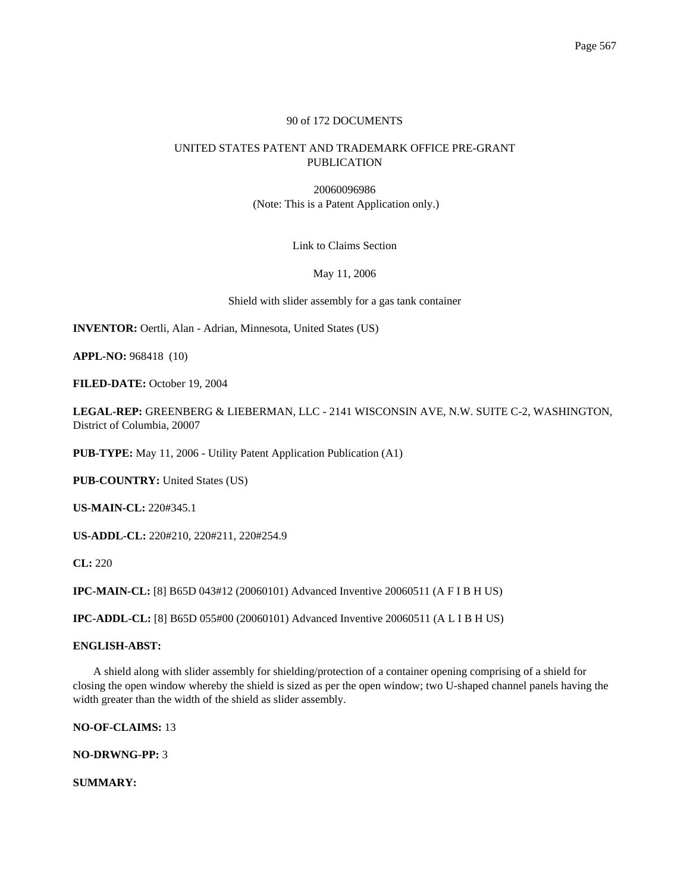## 90 of 172 DOCUMENTS

# UNITED STATES PATENT AND TRADEMARK OFFICE PRE-GRANT PUBLICATION

20060096986 (Note: This is a Patent Application only.)

Link to Claims Section

May 11, 2006

Shield with slider assembly for a gas tank container

**INVENTOR:** Oertli, Alan - Adrian, Minnesota, United States (US)

**APPL-NO:** 968418 (10)

**FILED-DATE:** October 19, 2004

**LEGAL-REP:** GREENBERG & LIEBERMAN, LLC - 2141 WISCONSIN AVE, N.W. SUITE C-2, WASHINGTON, District of Columbia, 20007

**PUB-TYPE:** May 11, 2006 - Utility Patent Application Publication (A1)

**PUB-COUNTRY:** United States (US)

**US-MAIN-CL:** 220#345.1

**US-ADDL-CL:** 220#210, 220#211, 220#254.9

**CL:** 220

**IPC-MAIN-CL:** [8] B65D 043#12 (20060101) Advanced Inventive 20060511 (A F I B H US)

**IPC-ADDL-CL:** [8] B65D 055#00 (20060101) Advanced Inventive 20060511 (A L I B H US)

## **ENGLISH-ABST:**

A shield along with slider assembly for shielding/protection of a container opening comprising of a shield for closing the open window whereby the shield is sized as per the open window; two U-shaped channel panels having the width greater than the width of the shield as slider assembly.

**NO-OF-CLAIMS:** 13

**NO-DRWNG-PP:** 3

**SUMMARY:**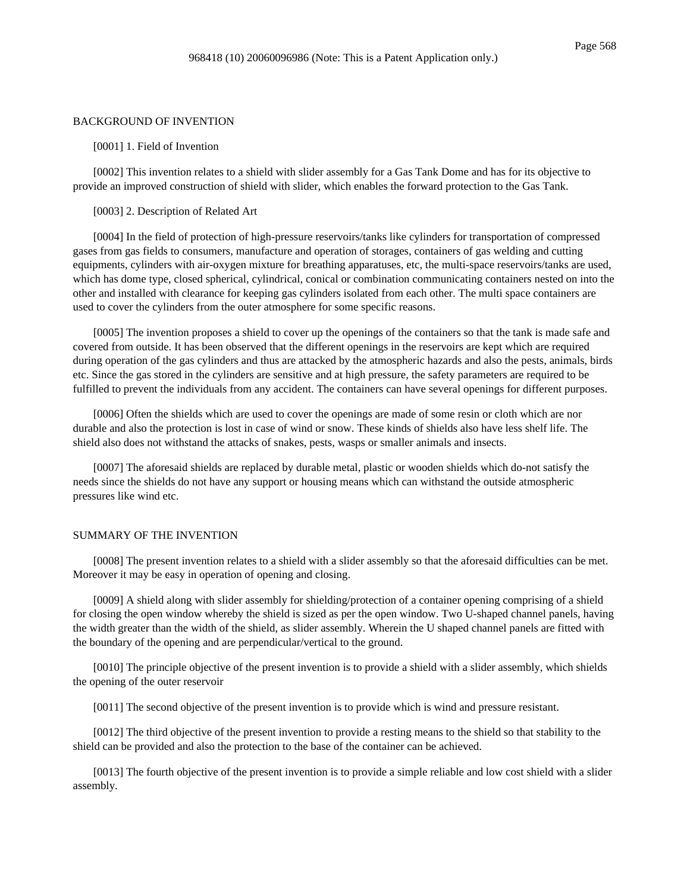#### BACKGROUND OF INVENTION

[0001] 1. Field of Invention

[0002] This invention relates to a shield with slider assembly for a Gas Tank Dome and has for its objective to provide an improved construction of shield with slider, which enables the forward protection to the Gas Tank.

#### [0003] 2. Description of Related Art

[0004] In the field of protection of high-pressure reservoirs/tanks like cylinders for transportation of compressed gases from gas fields to consumers, manufacture and operation of storages, containers of gas welding and cutting equipments, cylinders with air-oxygen mixture for breathing apparatuses, etc, the multi-space reservoirs/tanks are used, which has dome type, closed spherical, cylindrical, conical or combination communicating containers nested on into the other and installed with clearance for keeping gas cylinders isolated from each other. The multi space containers are used to cover the cylinders from the outer atmosphere for some specific reasons.

[0005] The invention proposes a shield to cover up the openings of the containers so that the tank is made safe and covered from outside. It has been observed that the different openings in the reservoirs are kept which are required during operation of the gas cylinders and thus are attacked by the atmospheric hazards and also the pests, animals, birds etc. Since the gas stored in the cylinders are sensitive and at high pressure, the safety parameters are required to be fulfilled to prevent the individuals from any accident. The containers can have several openings for different purposes.

[0006] Often the shields which are used to cover the openings are made of some resin or cloth which are nor durable and also the protection is lost in case of wind or snow. These kinds of shields also have less shelf life. The shield also does not withstand the attacks of snakes, pests, wasps or smaller animals and insects.

[0007] The aforesaid shields are replaced by durable metal, plastic or wooden shields which do-not satisfy the needs since the shields do not have any support or housing means which can withstand the outside atmospheric pressures like wind etc.

#### SUMMARY OF THE INVENTION

[0008] The present invention relates to a shield with a slider assembly so that the aforesaid difficulties can be met. Moreover it may be easy in operation of opening and closing.

[0009] A shield along with slider assembly for shielding/protection of a container opening comprising of a shield for closing the open window whereby the shield is sized as per the open window. Two U-shaped channel panels, having the width greater than the width of the shield, as slider assembly. Wherein the U shaped channel panels are fitted with the boundary of the opening and are perpendicular/vertical to the ground.

[0010] The principle objective of the present invention is to provide a shield with a slider assembly, which shields the opening of the outer reservoir

[0011] The second objective of the present invention is to provide which is wind and pressure resistant.

[0012] The third objective of the present invention to provide a resting means to the shield so that stability to the shield can be provided and also the protection to the base of the container can be achieved.

[0013] The fourth objective of the present invention is to provide a simple reliable and low cost shield with a slider assembly.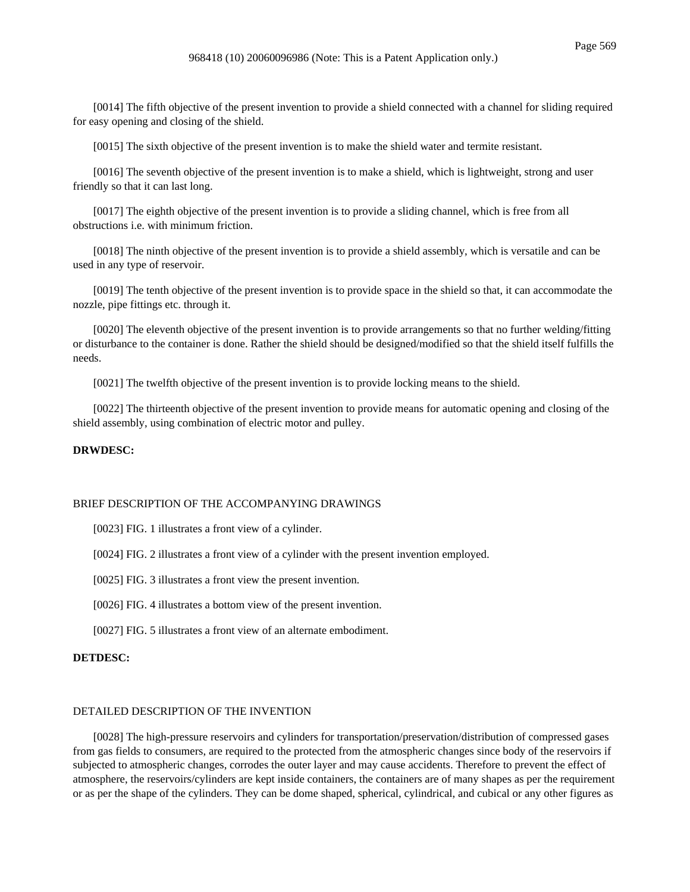[0014] The fifth objective of the present invention to provide a shield connected with a channel for sliding required for easy opening and closing of the shield.

[0015] The sixth objective of the present invention is to make the shield water and termite resistant.

[0016] The seventh objective of the present invention is to make a shield, which is lightweight, strong and user friendly so that it can last long.

[0017] The eighth objective of the present invention is to provide a sliding channel, which is free from all obstructions i.e. with minimum friction.

[0018] The ninth objective of the present invention is to provide a shield assembly, which is versatile and can be used in any type of reservoir.

[0019] The tenth objective of the present invention is to provide space in the shield so that, it can accommodate the nozzle, pipe fittings etc. through it.

[0020] The eleventh objective of the present invention is to provide arrangements so that no further welding/fitting or disturbance to the container is done. Rather the shield should be designed/modified so that the shield itself fulfills the needs.

[0021] The twelfth objective of the present invention is to provide locking means to the shield.

[0022] The thirteenth objective of the present invention to provide means for automatic opening and closing of the shield assembly, using combination of electric motor and pulley.

### **DRWDESC:**

### BRIEF DESCRIPTION OF THE ACCOMPANYING DRAWINGS

[0023] FIG. 1 illustrates a front view of a cylinder.

[0024] FIG. 2 illustrates a front view of a cylinder with the present invention employed.

[0025] FIG. 3 illustrates a front view the present invention.

[0026] FIG. 4 illustrates a bottom view of the present invention.

[0027] FIG. 5 illustrates a front view of an alternate embodiment.

### **DETDESC:**

## DETAILED DESCRIPTION OF THE INVENTION

[0028] The high-pressure reservoirs and cylinders for transportation/preservation/distribution of compressed gases from gas fields to consumers, are required to the protected from the atmospheric changes since body of the reservoirs if subjected to atmospheric changes, corrodes the outer layer and may cause accidents. Therefore to prevent the effect of atmosphere, the reservoirs/cylinders are kept inside containers, the containers are of many shapes as per the requirement or as per the shape of the cylinders. They can be dome shaped, spherical, cylindrical, and cubical or any other figures as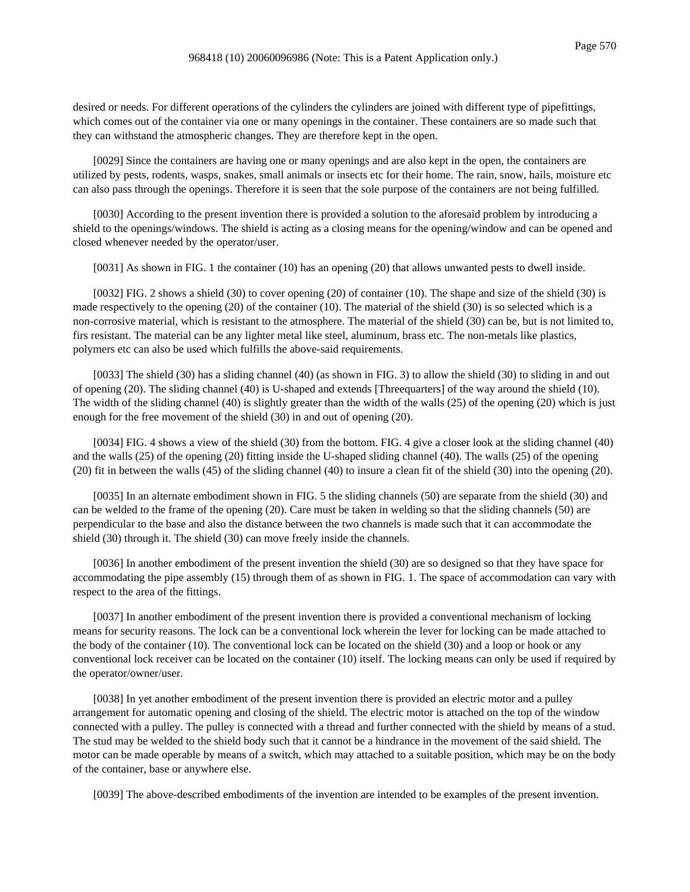desired or needs. For different operations of the cylinders the cylinders are joined with different type of pipefittings, which comes out of the container via one or many openings in the container. These containers are so made such that they can withstand the atmospheric changes. They are therefore kept in the open.

[0029] Since the containers are having one or many openings and are also kept in the open, the containers are utilized by pests, rodents, wasps, snakes, small animals or insects etc for their home. The rain, snow, hails, moisture etc can also pass through the openings. Therefore it is seen that the sole purpose of the containers are not being fulfilled.

[0030] According to the present invention there is provided a solution to the aforesaid problem by introducing a shield to the openings/windows. The shield is acting as a closing means for the opening/window and can be opened and closed whenever needed by the operator/user.

[0031] As shown in FIG. 1 the container (10) has an opening (20) that allows unwanted pests to dwell inside.

[0032] FIG. 2 shows a shield (30) to cover opening (20) of container (10). The shape and size of the shield (30) is made respectively to the opening (20) of the container (10). The material of the shield (30) is so selected which is a non-corrosive material, which is resistant to the atmosphere. The material of the shield (30) can be, but is not limited to, firs resistant. The material can be any lighter metal like steel, aluminum, brass etc. The non-metals like plastics, polymers etc can also be used which fulfills the above-said requirements.

[0033] The shield (30) has a sliding channel (40) (as shown in FIG. 3) to allow the shield (30) to sliding in and out of opening (20). The sliding channel (40) is U-shaped and extends [Threequarters] of the way around the shield (10). The width of the sliding channel (40) is slightly greater than the width of the walls (25) of the opening (20) which is just enough for the free movement of the shield (30) in and out of opening (20).

[0034] FIG. 4 shows a view of the shield (30) from the bottom. FIG. 4 give a closer look at the sliding channel (40) and the walls (25) of the opening (20) fitting inside the U-shaped sliding channel (40). The walls (25) of the opening (20) fit in between the walls (45) of the sliding channel (40) to insure a clean fit of the shield (30) into the opening (20).

[0035] In an alternate embodiment shown in FIG. 5 the sliding channels (50) are separate from the shield (30) and can be welded to the frame of the opening (20). Care must be taken in welding so that the sliding channels (50) are perpendicular to the base and also the distance between the two channels is made such that it can accommodate the shield (30) through it. The shield (30) can move freely inside the channels.

[0036] In another embodiment of the present invention the shield (30) are so designed so that they have space for accommodating the pipe assembly (15) through them of as shown in FIG. 1. The space of accommodation can vary with respect to the area of the fittings.

[0037] In another embodiment of the present invention there is provided a conventional mechanism of locking means for security reasons. The lock can be a conventional lock wherein the lever for locking can be made attached to the body of the container (10). The conventional lock can be located on the shield (30) and a loop or hook or any conventional lock receiver can be located on the container (10) itself. The locking means can only be used if required by the operator/owner/user.

[0038] In yet another embodiment of the present invention there is provided an electric motor and a pulley arrangement for automatic opening and closing of the shield. The electric motor is attached on the top of the window connected with a pulley. The pulley is connected with a thread and further connected with the shield by means of a stud. The stud may be welded to the shield body such that it cannot be a hindrance in the movement of the said shield. The motor can be made operable by means of a switch, which may attached to a suitable position, which may be on the body of the container, base or anywhere else.

[0039] The above-described embodiments of the invention are intended to be examples of the present invention.